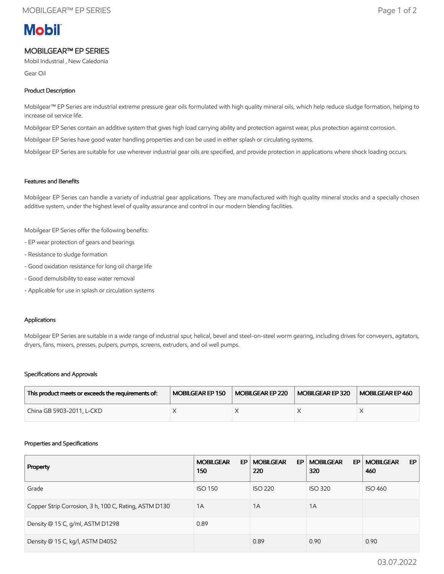# **Mobil**

### MOBILGEAR™ EP SERIES

Mobil Industrial , New Caledonia

Gear Oil

#### Product Description

Mobilgear™ EP Series are industrial extreme pressure gear oils formulated with high quality mineral oils, which help reduce sludge formation, helping to increase oil service life.

Mobilgear EP Series contain an additive system that gives high load carrying ability and protection against wear, plus protection against corrosion.

Mobilgear EP Series have good water handling properties and can be used in either splash or circulating systems.

Mobilgear EP Series are suitable for use wherever industrial gear oils are specified, and provide protection in applications where shock loading occurs.

#### Features and Benefits

Mobilgear EP Series can handle a variety of industrial gear applications. They are manufactured with high quality mineral stocks and a specially chosen additive system, under the highest level of quality assurance and control in our modern blending facilities.

Mobilgear EP Series offer the following benefits:

- EP wear protection of gears and bearings
- Resistance to sludge formation
- Good oxidation resistance for long oil charge life
- Good demulsibility to ease water removal
- Applicable for use in splash or circulation systems

#### Applications

Mobilgear EP Series are suitable in a wide range of industrial spur, helical, bevel and steel-on-steel worm gearing, including drives for conveyers, agitators, dryers, fans, mixers, presses, pulpers, pumps, screens, extruders, and oil well pumps.

#### Specifications and Approvals

| This product meets or exceeds the requirements of: | MOBILGEAR EP 150 | MOBILGEAR EP 220 | MOBILGEAR EP 320 | MOBILGEAR EP 460 |
|----------------------------------------------------|------------------|------------------|------------------|------------------|
| China GB 5903-2011, L-CKD                          |                  |                  |                  |                  |

#### Properties and Specifications

| Property                                              | <b>MOBILGEAR</b><br>EP<br>150 | <b>MOBILGEAR</b><br>EP<br>220 | <b>MOBILGEAR</b><br>EP.<br>320 | <b>MOBILGEAR</b><br>EP.<br>460 |
|-------------------------------------------------------|-------------------------------|-------------------------------|--------------------------------|--------------------------------|
| Grade                                                 | <b>ISO 150</b>                | <b>ISO 220</b>                | <b>ISO 320</b>                 | <b>ISO 460</b>                 |
| Copper Strip Corrosion, 3 h, 100 C, Rating, ASTM D130 | 1A                            | 1A                            | 1A                             |                                |
| Density @ 15 C, g/ml, ASTM D1298                      | 0.89                          |                               |                                |                                |
| Density @ 15 C, kg/l, ASTM D4052                      |                               | 0.89                          | 0.90                           | 0.90                           |